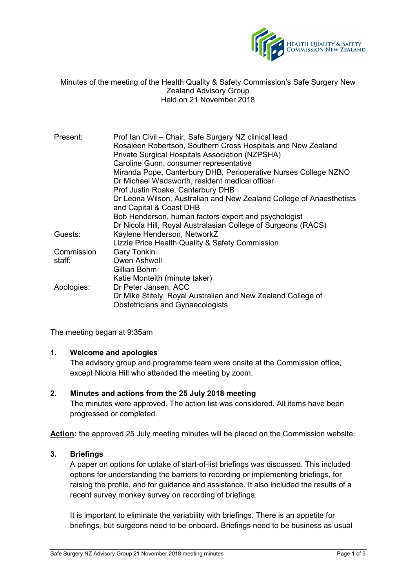

#### Minutes of the meeting of the Health Quality & Safety Commission's Safe Surgery New Zealand Advisory Group Held on 21 November 2018

| Present:   | Prof Ian Civil - Chair, Safe Surgery NZ clinical lead<br>Rosaleen Robertson, Southern Cross Hospitals and New Zealand<br>Private Surgical Hospitals Association (NZPSHA)<br>Caroline Gunn, consumer representative<br>Miranda Pope, Canterbury DHB, Perioperative Nurses College NZNO<br>Dr Michael Wadsworth, resident medical officer<br>Prof Justin Roake, Canterbury DHB<br>Dr Leona Wilson, Australian and New Zealand College of Anaesthetists |
|------------|------------------------------------------------------------------------------------------------------------------------------------------------------------------------------------------------------------------------------------------------------------------------------------------------------------------------------------------------------------------------------------------------------------------------------------------------------|
|            | and Capital & Coast DHB<br>Bob Henderson, human factors expert and psychologist                                                                                                                                                                                                                                                                                                                                                                      |
|            | Dr Nicola Hill, Royal Australasian College of Surgeons (RACS)                                                                                                                                                                                                                                                                                                                                                                                        |
| Guests:    | Kaylene Henderson, NetworkZ<br>Lizzie Price Health Quality & Safety Commission                                                                                                                                                                                                                                                                                                                                                                       |
| Commission | <b>Gary Tonkin</b>                                                                                                                                                                                                                                                                                                                                                                                                                                   |
| staff:     | Owen Ashwell<br>Gillian Bohm                                                                                                                                                                                                                                                                                                                                                                                                                         |
| Apologies: | Katie Monteith (minute taker)<br>Dr Peter Jansen, ACC<br>Dr Mike Stitely, Royal Australian and New Zealand College of<br><b>Obstetricians and Gynaecologists</b>                                                                                                                                                                                                                                                                                     |

The meeting began at 9:35am

# **1. Welcome and apologies**

The advisory group and programme team were onsite at the Commission office, except Nicola Hill who attended the meeting by zoom.

### **2. Minutes and actions from the 25 July 2018 meeting**

The minutes were approved. The action list was considered. All items have been progressed or completed.

**Action:** the approved 25 July meeting minutes will be placed on the Commission website.

#### **3. Briefings**

A paper on options for uptake of start-of-list briefings was discussed. This included options for understanding the barriers to recording or implementing briefings, for raising the profile, and for guidance and assistance. It also included the results of a recent survey monkey survey on recording of briefings.

It is important to eliminate the variability with briefings. There is an appetite for briefings, but surgeons need to be onboard. Briefings need to be business as usual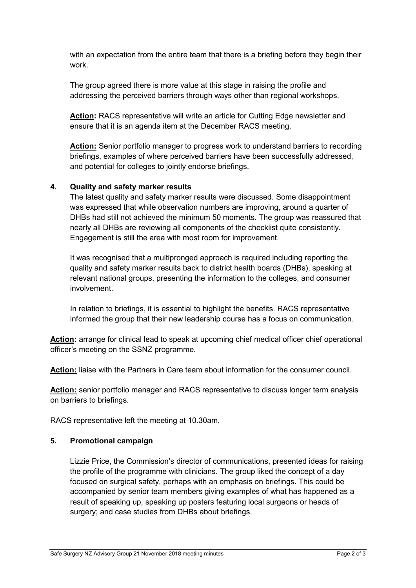with an expectation from the entire team that there is a briefing before they begin their work.

The group agreed there is more value at this stage in raising the profile and addressing the perceived barriers through ways other than regional workshops.

**Action:** RACS representative will write an article for Cutting Edge newsletter and ensure that it is an agenda item at the December RACS meeting.

**Action:** Senior portfolio manager to progress work to understand barriers to recording briefings, examples of where perceived barriers have been successfully addressed, and potential for colleges to jointly endorse briefings.

# **4. Quality and safety marker results**

The latest quality and safety marker results were discussed. Some disappointment was expressed that while observation numbers are improving, around a quarter of DHBs had still not achieved the minimum 50 moments. The group was reassured that nearly all DHBs are reviewing all components of the checklist quite consistently. Engagement is still the area with most room for improvement.

It was recognised that a multipronged approach is required including reporting the quality and safety marker results back to district health boards (DHBs), speaking at relevant national groups, presenting the information to the colleges, and consumer involvement.

In relation to briefings, it is essential to highlight the benefits. RACS representative informed the group that their new leadership course has a focus on communication.

**Action:** arrange for clinical lead to speak at upcoming chief medical officer chief operational officer's meeting on the SSNZ programme.

**Action:** liaise with the Partners in Care team about information for the consumer council.

**Action:** senior portfolio manager and RACS representative to discuss longer term analysis on barriers to briefings.

RACS representative left the meeting at 10.30am.

### **5. Promotional campaign**

Lizzie Price, the Commission's director of communications, presented ideas for raising the profile of the programme with clinicians. The group liked the concept of a day focused on surgical safety, perhaps with an emphasis on briefings. This could be accompanied by senior team members giving examples of what has happened as a result of speaking up, speaking up posters featuring local surgeons or heads of surgery; and case studies from DHBs about briefings.